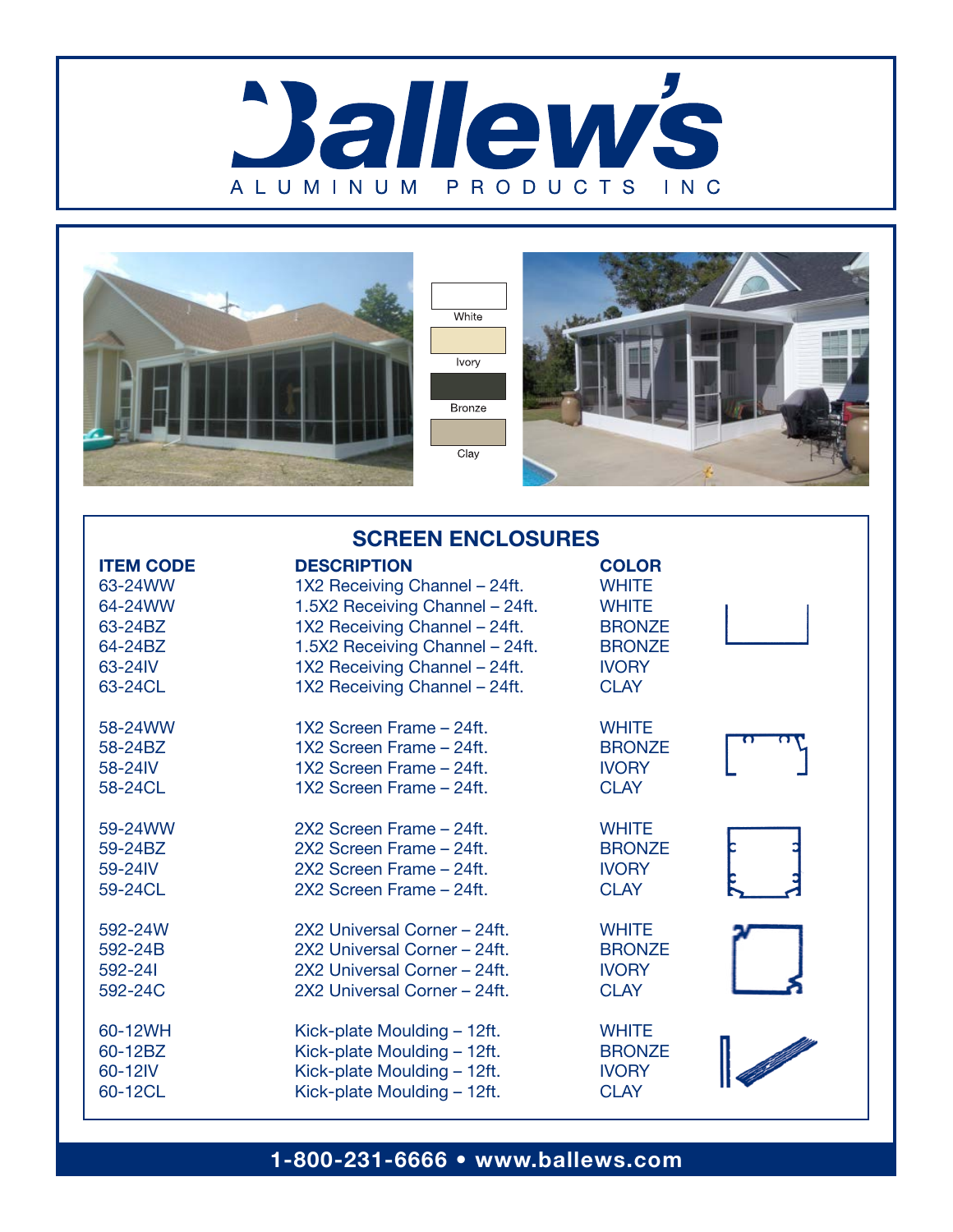





| <b>SCREEN ENCLOSURES</b> |                                 |               |  |
|--------------------------|---------------------------------|---------------|--|
| <b>ITEM CODE</b>         | <b>DESCRIPTION</b>              | <b>COLOR</b>  |  |
| 63-24WW                  | 1X2 Receiving Channel - 24ft.   | <b>WHITE</b>  |  |
| 64-24WW                  | 1.5X2 Receiving Channel - 24ft. | <b>WHITE</b>  |  |
| 63-24BZ                  | 1X2 Receiving Channel - 24ft.   | <b>BRONZE</b> |  |
| 64-24BZ                  | 1.5X2 Receiving Channel - 24ft. | <b>BRONZE</b> |  |
| 63-24IV                  | 1X2 Receiving Channel - 24ft.   | <b>IVORY</b>  |  |
| 63-24CL                  | 1X2 Receiving Channel - 24ft.   | <b>CLAY</b>   |  |
| 58-24WW                  | 1X2 Screen Frame - 24ft.        | <b>WHITE</b>  |  |
| 58-24BZ                  | 1X2 Screen Frame - 24ft.        | <b>BRONZE</b> |  |
| 58-24IV                  | 1X2 Screen Frame - 24ft.        | <b>IVORY</b>  |  |
| 58-24CL                  | 1X2 Screen Frame - 24ft.        | <b>CLAY</b>   |  |
| 59-24WW                  | 2X2 Screen Frame - 24ft.        | <b>WHITE</b>  |  |
| 59-24BZ                  | 2X2 Screen Frame - 24ft.        | <b>BRONZE</b> |  |
| 59-24IV                  | 2X2 Screen Frame - 24ft.        | <b>IVORY</b>  |  |
| 59-24CL                  | 2X2 Screen Frame - 24ft.        | <b>CLAY</b>   |  |
| 592-24W                  | 2X2 Universal Corner - 24ft.    | <b>WHITE</b>  |  |
| 592-24B                  | 2X2 Universal Corner - 24ft.    | <b>BRONZE</b> |  |
| 592-241                  | 2X2 Universal Corner - 24ft.    | <b>IVORY</b>  |  |
| 592-24C                  | 2X2 Universal Corner - 24ft.    | <b>CLAY</b>   |  |
| 60-12WH                  | Kick-plate Moulding - 12ft.     | <b>WHITE</b>  |  |
| 60-12BZ                  | Kick-plate Moulding - 12ft.     | <b>BRONZE</b> |  |
| 60-12IV                  | Kick-plate Moulding - 12ft.     | <b>IVORY</b>  |  |
| 60-12CL                  | Kick-plate Moulding - 12ft.     | <b>CLAY</b>   |  |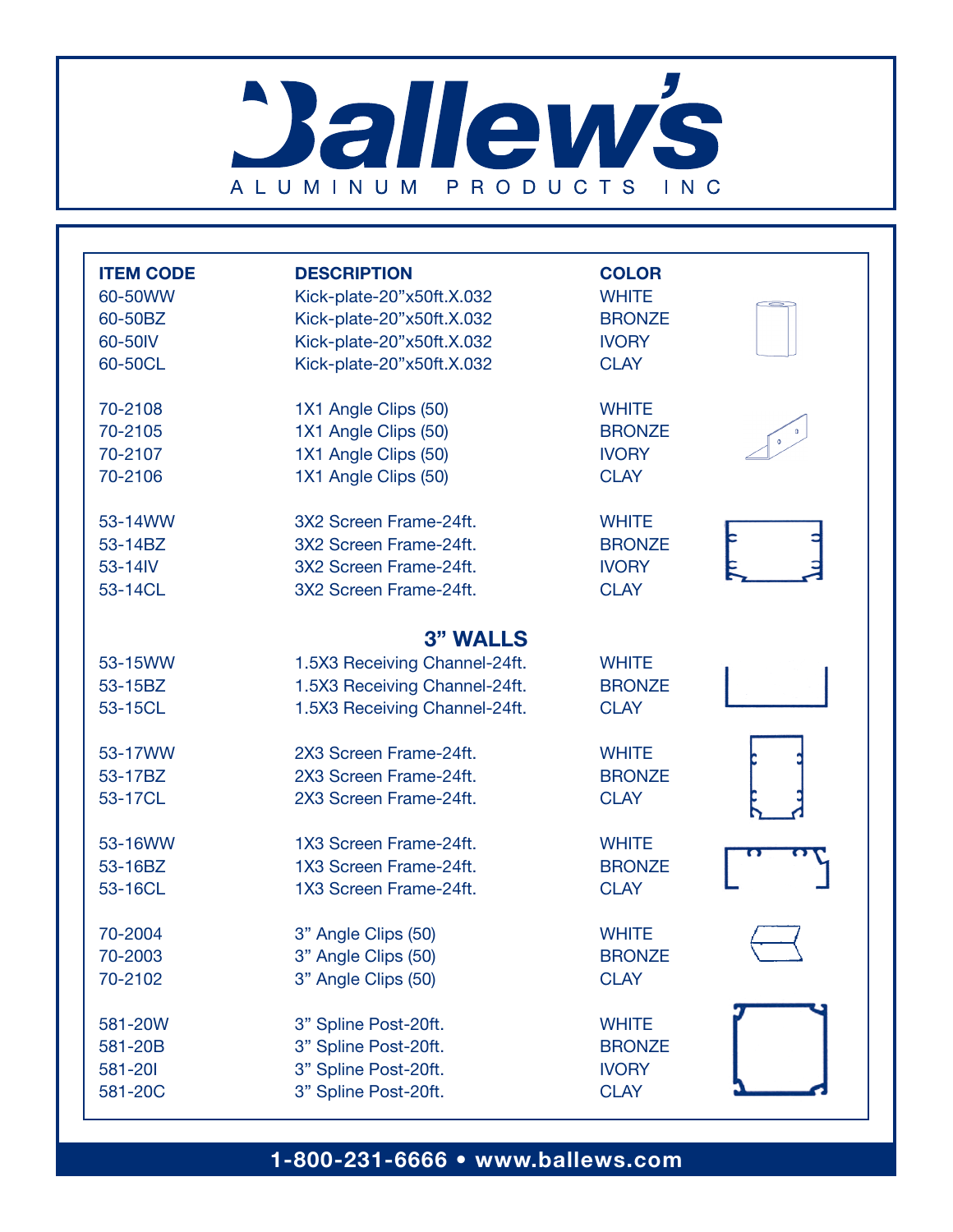# **Ballew's** ALUMINUM PRODUCTS INC

| <b>ITEM CODE</b> | <b>DESCRIPTION</b>            | <b>COLOR</b>  |  |
|------------------|-------------------------------|---------------|--|
| 60-50WW          | Kick-plate-20"x50ft.X.032     | <b>WHITE</b>  |  |
| 60-50BZ          | Kick-plate-20"x50ft.X.032     | <b>BRONZE</b> |  |
| 60-50IV          | Kick-plate-20"x50ft.X.032     | <b>IVORY</b>  |  |
| 60-50CL          | Kick-plate-20"x50ft.X.032     | <b>CLAY</b>   |  |
| 70-2108          | 1X1 Angle Clips (50)          | <b>WHITE</b>  |  |
| 70-2105          | 1X1 Angle Clips (50)          | <b>BRONZE</b> |  |
| 70-2107          | 1X1 Angle Clips (50)          | <b>IVORY</b>  |  |
| 70-2106          | 1X1 Angle Clips (50)          | <b>CLAY</b>   |  |
| 53-14WW          | 3X2 Screen Frame-24ft.        | <b>WHITE</b>  |  |
| 53-14BZ          | 3X2 Screen Frame-24ft.        | <b>BRONZE</b> |  |
| 53-14IV          | 3X2 Screen Frame-24ft.        | <b>IVORY</b>  |  |
| 53-14CL          | 3X2 Screen Frame-24ft.        | <b>CLAY</b>   |  |
|                  | <b>3" WALLS</b>               |               |  |
| 53-15WW          | 1.5X3 Receiving Channel-24ft. | <b>WHITE</b>  |  |
| 53-15BZ          | 1.5X3 Receiving Channel-24ft. | <b>BRONZE</b> |  |
| 53-15CL          | 1.5X3 Receiving Channel-24ft. | <b>CLAY</b>   |  |
| 53-17WW          | 2X3 Screen Frame-24ft.        | <b>WHITE</b>  |  |
| 53-17BZ          | 2X3 Screen Frame-24ft.        | <b>BRONZE</b> |  |
| 53-17CL          | 2X3 Screen Frame-24ft.        | <b>CLAY</b>   |  |
| 53-16WW          | 1X3 Screen Frame-24ft.        | <b>WHITE</b>  |  |
| 53-16BZ          | 1X3 Screen Frame-24ft.        | <b>BRONZE</b> |  |
| 53-16CL          | 1X3 Screen Frame-24ft.        | <b>CLAY</b>   |  |
| 70-2004          | 3" Angle Clips (50)           | <b>WHITE</b>  |  |
| 70-2003          | 3" Angle Clips (50)           | <b>BRONZE</b> |  |
| 70-2102          | 3" Angle Clips (50)           | <b>CLAY</b>   |  |
|                  |                               |               |  |
| 581-20W          | 3" Spline Post-20ft.          | <b>WHITE</b>  |  |
| 581-20B          | 3" Spline Post-20ft.          | <b>BRONZE</b> |  |
| 581-201          | 3" Spline Post-20ft.          | <b>IVORY</b>  |  |
| 581-20C          | 3" Spline Post-20ft.          | <b>CLAY</b>   |  |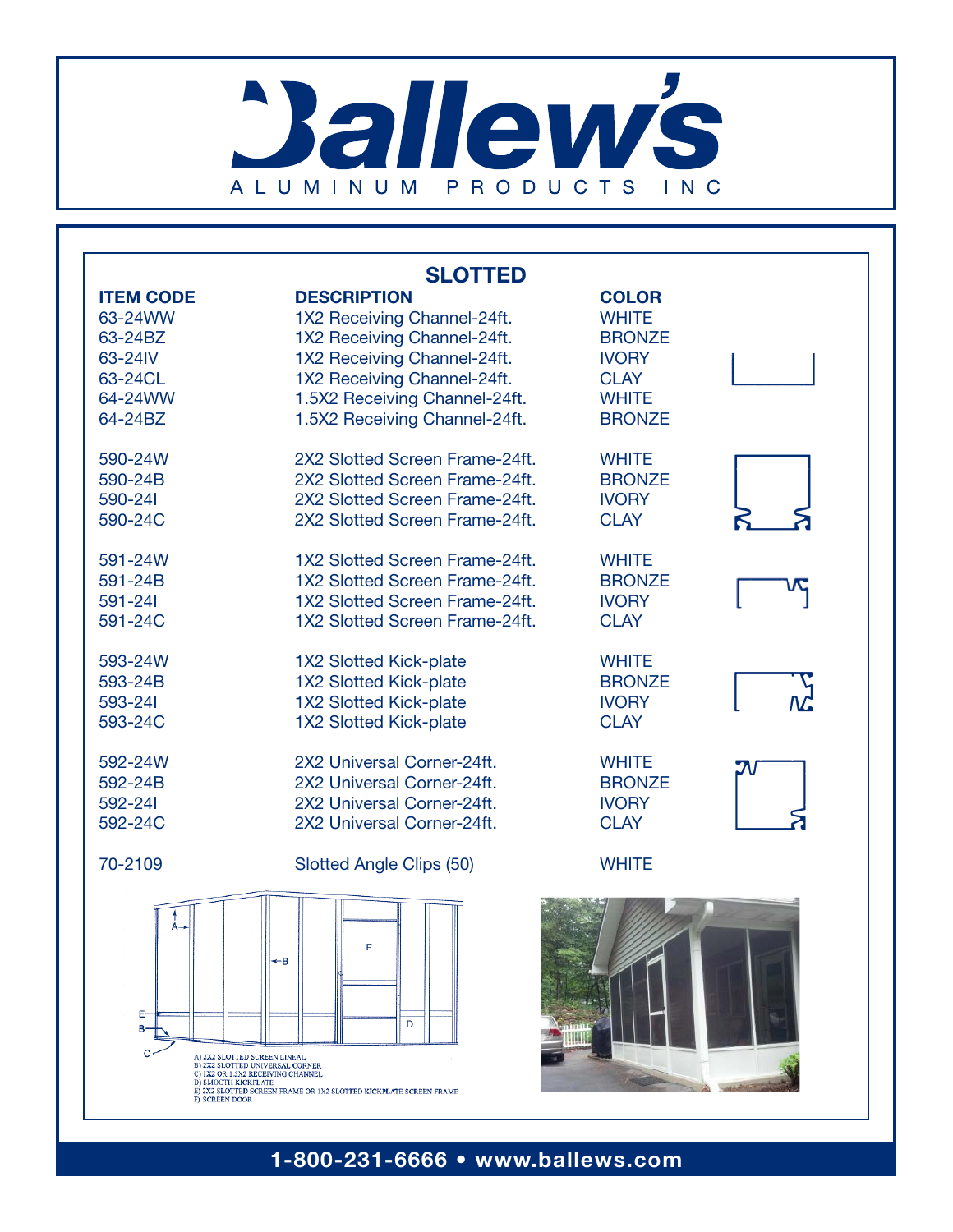# **Ballew's** ALUMINUM PRODUCTS INC

| <b>SLOTTED</b>                                                                                                                                         |                                                                   |               |  |
|--------------------------------------------------------------------------------------------------------------------------------------------------------|-------------------------------------------------------------------|---------------|--|
| <b>ITEM CODE</b>                                                                                                                                       | <b>DESCRIPTION</b>                                                | <b>COLOR</b>  |  |
| 63-24WW                                                                                                                                                | 1X2 Receiving Channel-24ft.                                       | <b>WHITE</b>  |  |
| 63-24BZ                                                                                                                                                | 1X2 Receiving Channel-24ft.                                       | <b>BRONZE</b> |  |
| 63-24IV                                                                                                                                                | 1X2 Receiving Channel-24ft.                                       | <b>IVORY</b>  |  |
| 63-24CL                                                                                                                                                | 1X2 Receiving Channel-24ft.                                       | <b>CLAY</b>   |  |
| 64-24WW                                                                                                                                                | 1.5X2 Receiving Channel-24ft.                                     | <b>WHITE</b>  |  |
| 64-24BZ                                                                                                                                                | 1.5X2 Receiving Channel-24ft.                                     | <b>BRONZE</b> |  |
| 590-24W                                                                                                                                                | 2X2 Slotted Screen Frame-24ft.                                    | <b>WHITE</b>  |  |
| 590-24B                                                                                                                                                | 2X2 Slotted Screen Frame-24ft.                                    | <b>BRONZE</b> |  |
| 590-241                                                                                                                                                | 2X2 Slotted Screen Frame-24ft.                                    | <b>IVORY</b>  |  |
| 590-24C                                                                                                                                                | 2X2 Slotted Screen Frame-24ft.                                    | <b>CLAY</b>   |  |
| 591-24W                                                                                                                                                | 1X2 Slotted Screen Frame-24ft.                                    | <b>WHITE</b>  |  |
| 591-24B                                                                                                                                                | 1X2 Slotted Screen Frame-24ft.                                    | <b>BRONZE</b> |  |
| 591-241                                                                                                                                                | 1X2 Slotted Screen Frame-24ft.                                    | <b>IVORY</b>  |  |
| 591-24C                                                                                                                                                | 1X2 Slotted Screen Frame-24ft.                                    | <b>CLAY</b>   |  |
| 593-24W                                                                                                                                                | <b>1X2 Slotted Kick-plate</b>                                     | <b>WHITE</b>  |  |
| 593-24B                                                                                                                                                | 1X2 Slotted Kick-plate                                            | <b>BRONZE</b> |  |
| 593-241                                                                                                                                                | 1X2 Slotted Kick-plate                                            | <b>IVORY</b>  |  |
| 593-24C                                                                                                                                                | 1X2 Slotted Kick-plate                                            | <b>CLAY</b>   |  |
| 592-24W                                                                                                                                                | 2X2 Universal Corner-24ft.                                        | <b>WHITE</b>  |  |
| 592-24B                                                                                                                                                | 2X2 Universal Corner-24ft.                                        | <b>BRONZE</b> |  |
| 592-241                                                                                                                                                | 2X2 Universal Corner-24ft.                                        | <b>IVORY</b>  |  |
| 592-24C                                                                                                                                                | 2X2 Universal Corner-24ft.                                        | <b>CLAY</b>   |  |
| 70-2109                                                                                                                                                | Slotted Angle Clips (50)                                          | <b>WHITE</b>  |  |
| ←B<br>Ε<br>D<br>в٠<br>C<br>A) 2X2 SLOTTED SCREEN LINEAL<br>B) 2X2 SLOTTED UNIVERSAL CORNER<br>C) 1X2 OR 1.5X2 RECEIVING CHANNEL<br>D) SMOOTH KICKPLATE |                                                                   |               |  |
| <b>FI SCREEN DOOR</b>                                                                                                                                  | E) 2X2 SLOTTED SCREEN FRAME OR 1X2 SLOTTED KICKPLATE SCREEN FRAME |               |  |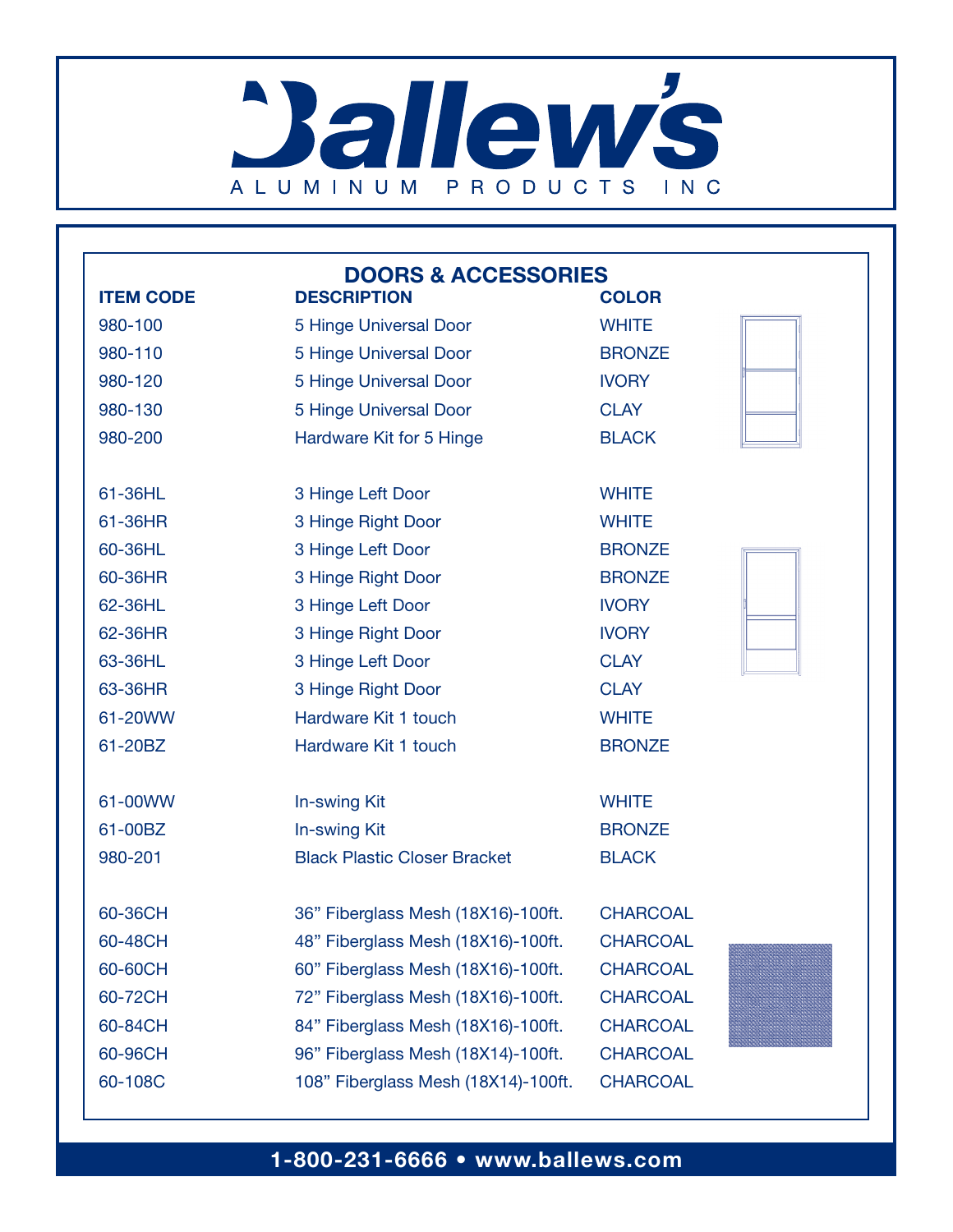# **Ballew's** ALUMINUM PRODUCTS INC

| <b>DOORS &amp; ACCESSORIES</b> |                                     |                 |  |
|--------------------------------|-------------------------------------|-----------------|--|
| <b>ITEM CODE</b>               | <b>DESCRIPTION</b>                  | <b>COLOR</b>    |  |
| 980-100                        | 5 Hinge Universal Door              | <b>WHITE</b>    |  |
| 980-110                        | 5 Hinge Universal Door              | <b>BRONZE</b>   |  |
| 980-120                        | 5 Hinge Universal Door              | <b>IVORY</b>    |  |
| 980-130                        | 5 Hinge Universal Door              | <b>CLAY</b>     |  |
| 980-200                        | Hardware Kit for 5 Hinge            | <b>BLACK</b>    |  |
|                                |                                     |                 |  |
| 61-36HL                        | 3 Hinge Left Door                   | <b>WHITE</b>    |  |
| 61-36HR                        | 3 Hinge Right Door                  | <b>WHITE</b>    |  |
| 60-36HL                        | 3 Hinge Left Door                   | <b>BRONZE</b>   |  |
| 60-36HR                        | 3 Hinge Right Door                  | <b>BRONZE</b>   |  |
| 62-36HL                        | 3 Hinge Left Door                   | <b>IVORY</b>    |  |
| 62-36HR                        | 3 Hinge Right Door                  | <b>IVORY</b>    |  |
| 63-36HL                        | 3 Hinge Left Door                   | <b>CLAY</b>     |  |
| 63-36HR                        | 3 Hinge Right Door                  | <b>CLAY</b>     |  |
| 61-20WW                        | Hardware Kit 1 touch                | <b>WHITE</b>    |  |
| 61-20BZ                        | Hardware Kit 1 touch                | <b>BRONZE</b>   |  |
| 61-00WW                        | In-swing Kit                        | <b>WHITE</b>    |  |
| 61-00BZ                        | In-swing Kit                        | <b>BRONZE</b>   |  |
| 980-201                        | <b>Black Plastic Closer Bracket</b> | <b>BLACK</b>    |  |
|                                |                                     |                 |  |
| 60-36CH                        | 36" Fiberglass Mesh (18X16)-100ft.  | <b>CHARCOAL</b> |  |
| 60-48CH                        | 48" Fiberglass Mesh (18X16)-100ft.  | <b>CHARCOAL</b> |  |
| 60-60CH                        | 60" Fiberglass Mesh (18X16)-100ft.  | <b>CHARCOAL</b> |  |
| 60-72CH                        | 72" Fiberglass Mesh (18X16)-100ft.  | <b>CHARCOAL</b> |  |
| 60-84CH                        | 84" Fiberglass Mesh (18X16)-100ft.  | <b>CHARCOAL</b> |  |
| 60-96CH                        | 96" Fiberglass Mesh (18X14)-100ft.  | <b>CHARCOAL</b> |  |
| 60-108C                        | 108" Fiberglass Mesh (18X14)-100ft. | <b>CHARCOAL</b> |  |
|                                |                                     |                 |  |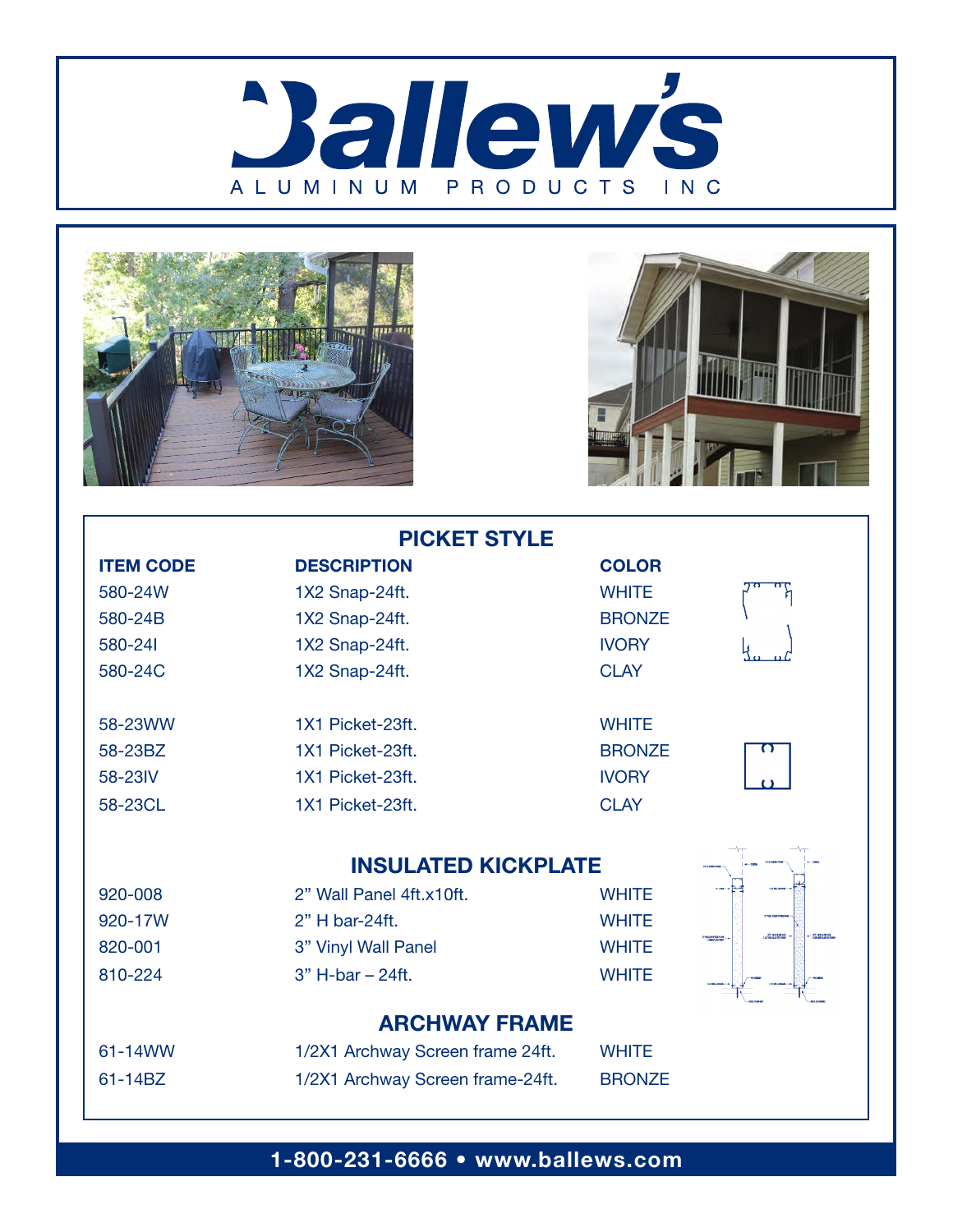





| <b>PICKET STYLE</b>  |                                  |               |                               |
|----------------------|----------------------------------|---------------|-------------------------------|
| <b>ITEM CODE</b>     | <b>DESCRIPTION</b>               | <b>COLOR</b>  |                               |
| 580-24W              | 1X2 Snap-24ft.                   | <b>WHITE</b>  |                               |
| 580-24B              | 1X2 Snap-24ft.                   | <b>BRONZE</b> |                               |
| 580-241              | 1X2 Snap-24ft.                   | <b>IVORY</b>  |                               |
| 580-24C              | 1X2 Snap-24ft.                   | <b>CLAY</b>   |                               |
| 58-23WW              | 1X1 Picket-23ft.                 | <b>WHITE</b>  |                               |
| 58-23BZ              | 1X1 Picket-23ft.                 | <b>BRONZE</b> |                               |
| 58-23IV              | 1X1 Picket-23ft.                 | <b>IVORY</b>  |                               |
| 58-23CL              | 1X1 Picket-23ft.                 | <b>CLAY</b>   |                               |
|                      | <b>INSULATED KICKPLATE</b>       |               |                               |
| 920-008              | 2" Wall Panel 4ft.x10ft.         | <b>WHITE</b>  |                               |
| 920-17W              | 2" H bar-24ft.                   | <b>WHITE</b>  |                               |
| 820-001              | 3" Vinyl Wall Panel              | <b>WHITE</b>  | <b>STAGNISH</b><br>PRIJERISAS |
| 810-224              | 3" H-bar - 24ft.                 | <b>WHITE</b>  |                               |
| <b>ARCHWAY FRAME</b> |                                  |               |                               |
| 61-14WW              | 1/2X1 Archway Screen frame 24ft. | <b>WHITE</b>  |                               |
| 61-14BZ              | 1/2X1 Archway Screen frame-24ft. | <b>BRONZE</b> |                               |